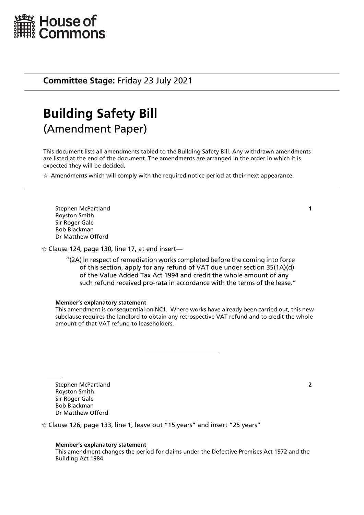

## **Committee Stage:** Friday 23 July 2021

# **Building Safety Bill** (Amendment Paper)

This document lists all amendments tabled to the Building Safety Bill. Any withdrawn amendments are listed at the end of the document. The amendments are arranged in the order in which it is expected they will be decided.

 $\star$  Amendments which will comply with the required notice period at their next appearance.

Stephen McPartland **1** Royston Smith Sir Roger Gale Bob Blackman Dr Matthew Offord

 $\dot{\varphi}$  Clause 124, page 130, line 17, at end insert—

"(2A) In respect of remediation works completed before the coming into force of this section, apply for any refund of VAT due under section 35(1A)(d) of the Value Added Tax Act 1994 and credit the whole amount of any such refund received pro-rata in accordance with the terms of the lease."

#### **Member's explanatory statement**

This amendment is consequential on NC1. Where works have already been carried out, this new subclause requires the landlord to obtain any retrospective VAT refund and to credit the whole amount of that VAT refund to leaseholders.

Stephen McPartland **2** Royston Smith Sir Roger Gale Bob Blackman Dr Matthew Offord

 $\dot{\varphi}$  Clause 126, page 133, line 1, leave out "15 years" and insert "25 years"

## **Member's explanatory statement**

This amendment changes the period for claims under the Defective Premises Act 1972 and the Building Act 1984.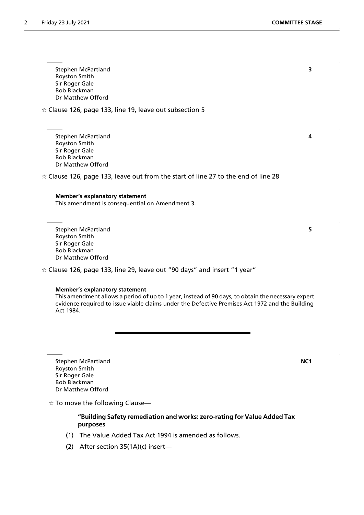Stephen McPartland **3** Royston Smith Sir Roger Gale Bob Blackman Dr Matthew Offord

 $\dot{\varphi}$  Clause 126, page 133, line 19, leave out subsection 5

Stephen McPartland **4** Royston Smith Sir Roger Gale Bob Blackman Dr Matthew Offord

 $\dot{\varphi}$  Clause 126, page 133, leave out from the start of line 27 to the end of line 28

## **Member's explanatory statement**

This amendment is consequential on Amendment 3.

Stephen McPartland **5** Royston Smith Sir Roger Gale Bob Blackman Dr Matthew Offord

 $\dot{\varphi}$  Clause 126, page 133, line 29, leave out "90 days" and insert "1 year"

#### **Member's explanatory statement**

This amendment allows a period of up to 1 year, instead of 90 days, to obtain the necessary expert evidence required to issue viable claims under the Defective Premises Act 1972 and the Building Act 1984.

Stephen McPartland **NC1** Royston Smith Sir Roger Gale Bob Blackman Dr Matthew Offord

 $\dot{\mathbb{X}}$  To move the following Clause—

## **"Building Safety remediation and works: zero-rating for Value Added Tax purposes**

- (1) The Value Added Tax Act 1994 is amended as follows.
- (2) After section 35(1A)(c) insert—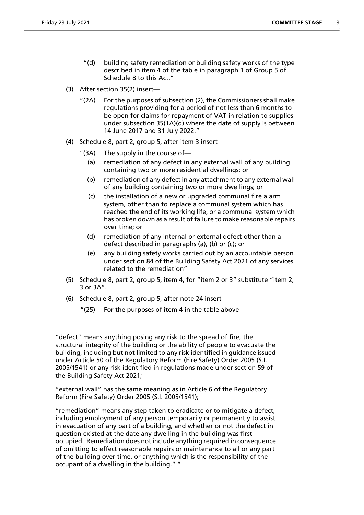- "(d) building safety remediation or building safety works of the type described in item 4 of the table in paragraph 1 of Group 5 of Schedule 8 to this Act."
- (3) After section 35(2) insert—
	- "(2A) For the purposes of subsection (2), the Commissioners shall make regulations providing for a period of not less than 6 months to be open for claims for repayment of VAT in relation to supplies under subsection 35(1A)(d) where the date of supply is between 14 June 2017 and 31 July 2022."
- (4) Schedule 8, part 2, group 5, after item 3 insert—
	- " $(3A)$  The supply in the course of-
		- (a) remediation of any defect in any external wall of any building containing two or more residential dwellings; or
		- (b) remediation of any defect in any attachment to any external wall of any building containing two or more dwellings; or
		- (c) the installation of a new or upgraded communal fire alarm system, other than to replace a communal system which has reached the end of its working life, or a communal system which has broken down as a result of failure to make reasonable repairs over time; or
		- (d) remediation of any internal or external defect other than a defect described in paragraphs (a), (b) or (c); or
		- (e) any building safety works carried out by an accountable person under section 84 of the Building Safety Act 2021 of any services related to the remediation"
- (5) Schedule 8, part 2, group 5, item 4, for "item 2 or 3" substitute "item 2, 3 or 3A".
- (6) Schedule 8, part 2, group 5, after note 24 insert—
	- " $(25)$  For the purposes of item 4 in the table above—

"defect" means anything posing any risk to the spread of fire, the structural integrity of the building or the ability of people to evacuate the building, including but not limited to any risk identified in guidance issued under Article 50 of the Regulatory Reform (Fire Safety) Order 2005 (S.I. 2005/1541) or any risk identified in regulations made under section 59 of the Building Safety Act 2021;

"external wall" has the same meaning as in Article 6 of the Regulatory Reform (Fire Safety) Order 2005 (S.I. 2005/1541);

"remediation" means any step taken to eradicate or to mitigate a defect, including employment of any person temporarily or permanently to assist in evacuation of any part of a building, and whether or not the defect in question existed at the date any dwelling in the building was first occupied. Remediation does not include anything required in consequence of omitting to effect reasonable repairs or maintenance to all or any part of the building over time, or anything which is the responsibility of the occupant of a dwelling in the building." "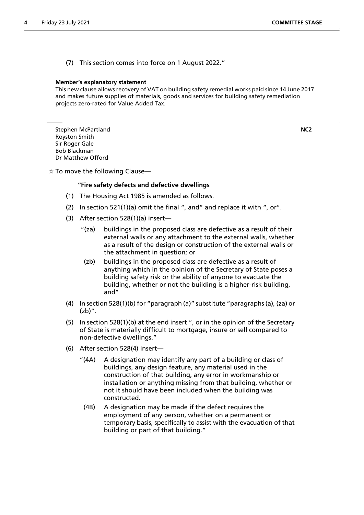(7) This section comes into force on 1 August 2022."

#### **Member's explanatory statement**

This new clause allows recovery of VAT on building safety remedial works paid since 14 June 2017 and makes future supplies of materials, goods and services for building safety remediation projects zero-rated for Value Added Tax.

Stephen McPartland **NC2** Royston Smith Sir Roger Gale Bob Blackman Dr Matthew Offord

 $\frac{1}{N}$  To move the following Clause—

## **"Fire safety defects and defective dwellings**

- (1) The Housing Act 1985 is amended as follows.
- (2) In section 521(1)(a) omit the final ", and" and replace it with ", or".
- (3) After section 528(1)(a) insert—
	- "(za) buildings in the proposed class are defective as a result of their external walls or any attachment to the external walls, whether as a result of the design or construction of the external walls or the attachment in question; or
	- (zb) buildings in the proposed class are defective as a result of anything which in the opinion of the Secretary of State poses a building safety risk or the ability of anyone to evacuate the building, whether or not the building is a higher-risk building, and"
- (4) In section 528(1)(b) for "paragraph (a)" substitute "paragraphs (a), (za) or (zb)".
- (5) In section 528(1)(b) at the end insert ", or in the opinion of the Secretary of State is materially difficult to mortgage, insure or sell compared to non-defective dwellings."
- (6) After section 528(4) insert—
	- "(4A) A designation may identify any part of a building or class of buildings, any design feature, any material used in the construction of that building, any error in workmanship or installation or anything missing from that building, whether or not it should have been included when the building was constructed.
	- (4B) A designation may be made if the defect requires the employment of any person, whether on a permanent or temporary basis, specifically to assist with the evacuation of that building or part of that building."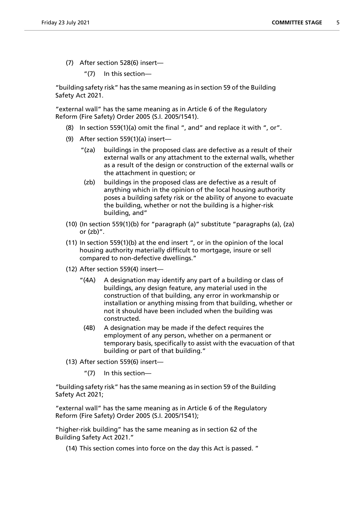- (7) After section 528(6) insert—
	- "(7) In this section—

"building safety risk" has the same meaning as in section 59 of the Building Safety Act 2021.

"external wall" has the same meaning as in Article 6 of the Regulatory Reform (Fire Safety) Order 2005 (S.I. 2005/1541).

- (8) In section 559(1)(a) omit the final ", and" and replace it with ", or".
- (9) After section 559(1)(a) insert—
	- "(za) buildings in the proposed class are defective as a result of their external walls or any attachment to the external walls, whether as a result of the design or construction of the external walls or the attachment in question; or
	- (zb) buildings in the proposed class are defective as a result of anything which in the opinion of the local housing authority poses a building safety risk or the ability of anyone to evacuate the building, whether or not the building is a higher-risk building, and"
- (10) (In section 559(1)(b) for "paragraph (a)" substitute "paragraphs (a), (za) or  $(zb)$ ".
- (11) In section 559(1)(b) at the end insert ", or in the opinion of the local housing authority materially difficult to mortgage, insure or sell compared to non-defective dwellings."
- (12) After section 559(4) insert—
	- "(4A) A designation may identify any part of a building or class of buildings, any design feature, any material used in the construction of that building, any error in workmanship or installation or anything missing from that building, whether or not it should have been included when the building was constructed.
	- (4B) A designation may be made if the defect requires the employment of any person, whether on a permanent or temporary basis, specifically to assist with the evacuation of that building or part of that building."
- (13) After section 559(6) insert—
	- "(7) In this section—

"building safety risk" has the same meaning as in section 59 of the Building Safety Act 2021;

"external wall" has the same meaning as in Article 6 of the Regulatory Reform (Fire Safety) Order 2005 (S.I. 2005/1541);

"higher-risk building" has the same meaning as in section 62 of the Building Safety Act 2021."

(14) This section comes into force on the day this Act is passed. "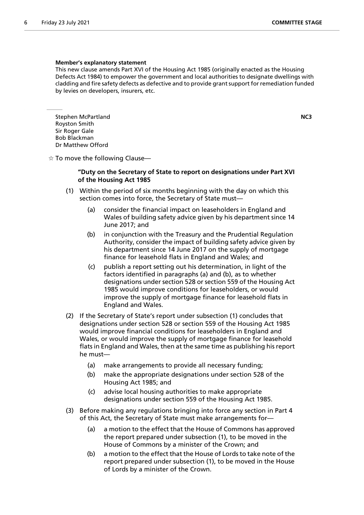#### **Member's explanatory statement**

This new clause amends Part XVI of the Housing Act 1985 (originally enacted as the Housing Defects Act 1984) to empower the government and local authorities to designate dwellings with cladding and fire safety defects as defective and to provide grant support for remediation funded by levies on developers, insurers, etc.

Stephen McPartland **NC3** Royston Smith Sir Roger Gale Bob Blackman Dr Matthew Offord

 $\frac{1}{X}$  To move the following Clause—

## **"Duty on the Secretary of State to report on designations under Part XVI of the Housing Act 1985**

- (1) Within the period of six months beginning with the day on which this section comes into force, the Secretary of State must—
	- (a) consider the financial impact on leaseholders in England and Wales of building safety advice given by his department since 14 June 2017; and
	- (b) in conjunction with the Treasury and the Prudential Regulation Authority, consider the impact of building safety advice given by his department since 14 June 2017 on the supply of mortgage finance for leasehold flats in England and Wales; and
	- (c) publish a report setting out his determination, in light of the factors identified in paragraphs (a) and (b), as to whether designations under section 528 or section 559 of the Housing Act 1985 would improve conditions for leaseholders, or would improve the supply of mortgage finance for leasehold flats in England and Wales.
- (2) If the Secretary of State's report under subsection (1) concludes that designations under section 528 or section 559 of the Housing Act 1985 would improve financial conditions for leaseholders in England and Wales, or would improve the supply of mortgage finance for leasehold flats in England and Wales, then at the same time as publishing his report he must—
	- (a) make arrangements to provide all necessary funding;
	- (b) make the appropriate designations under section 528 of the Housing Act 1985; and
	- (c) advise local housing authorities to make appropriate designations under section 559 of the Housing Act 1985.
- (3) Before making any regulations bringing into force any section in Part 4 of this Act, the Secretary of State must make arrangements for—
	- (a) a motion to the effect that the House of Commons has approved the report prepared under subsection (1), to be moved in the House of Commons by a minister of the Crown; and
	- (b) a motion to the effect that the House of Lords to take note of the report prepared under subsection (1), to be moved in the House of Lords by a minister of the Crown.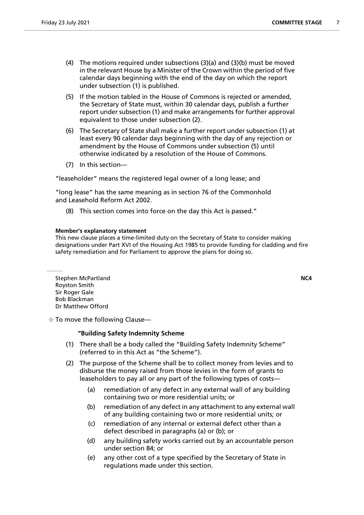- (4) The motions required under subsections (3)(a) and (3)(b) must be moved in the relevant House by a Minister of the Crown within the period of five calendar days beginning with the end of the day on which the report under subsection (1) is published.
- (5) If the motion tabled in the House of Commons is rejected or amended, the Secretary of State must, within 30 calendar days, publish a further report under subsection (1) and make arrangements for further approval equivalent to those under subsection (2).
- (6) The Secretary of State shall make a further report under subsection (1) at least every 90 calendar days beginning with the day of any rejection or amendment by the House of Commons under subsection (5) until otherwise indicated by a resolution of the House of Commons.
- (7) In this section—

"leaseholder" means the registered legal owner of a long lease; and

"long lease" has the same meaning as in section 76 of the Commonhold and Leasehold Reform Act 2002.

(8) This section comes into force on the day this Act is passed."

## **Member's explanatory statement**

This new clause places a time-limited duty on the Secretary of State to consider making designations under Part XVI of the Housing Act 1985 to provide funding for cladding and fire safety remediation and for Parliament to approve the plans for doing so.

Stephen McPartland **NC4** Royston Smith Sir Roger Gale Bob Blackman Dr Matthew Offord

 $\dot{\varphi}$  To move the following Clause—

## **"Building Safety Indemnity Scheme**

- (1) There shall be a body called the "Building Safety Indemnity Scheme" (referred to in this Act as "the Scheme").
- (2) The purpose of the Scheme shall be to collect money from levies and to disburse the money raised from those levies in the form of grants to leaseholders to pay all or any part of the following types of costs—
	- (a) remediation of any defect in any external wall of any building containing two or more residential units; or
	- (b) remediation of any defect in any attachment to any external wall of any building containing two or more residential units; or
	- (c) remediation of any internal or external defect other than a defect described in paragraphs (a) or (b); or
	- (d) any building safety works carried out by an accountable person under section 84; or
	- (e) any other cost of a type specified by the Secretary of State in regulations made under this section.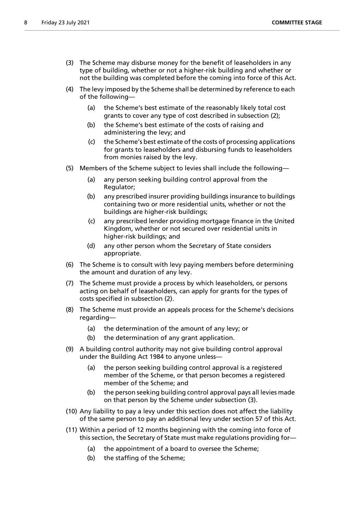- (3) The Scheme may disburse money for the benefit of leaseholders in any type of building, whether or not a higher-risk building and whether or not the building was completed before the coming into force of this Act.
- (4) The levy imposed by the Scheme shall be determined by reference to each of the following—
	- (a) the Scheme's best estimate of the reasonably likely total cost grants to cover any type of cost described in subsection (2);
	- (b) the Scheme's best estimate of the costs of raising and administering the levy; and
	- (c) the Scheme's best estimate of the costs of processing applications for grants to leaseholders and disbursing funds to leaseholders from monies raised by the levy.
- (5) Members of the Scheme subject to levies shall include the following—
	- (a) any person seeking building control approval from the Regulator;
	- (b) any prescribed insurer providing buildings insurance to buildings containing two or more residential units, whether or not the buildings are higher-risk buildings;
	- (c) any prescribed lender providing mortgage finance in the United Kingdom, whether or not secured over residential units in higher-risk buildings; and
	- (d) any other person whom the Secretary of State considers appropriate.
- (6) The Scheme is to consult with levy paying members before determining the amount and duration of any levy.
- (7) The Scheme must provide a process by which leaseholders, or persons acting on behalf of leaseholders, can apply for grants for the types of costs specified in subsection (2).
- (8) The Scheme must provide an appeals process for the Scheme's decisions regarding—
	- (a) the determination of the amount of any levy; or
	- (b) the determination of any grant application.
- (9) A building control authority may not give building control approval under the Building Act 1984 to anyone unless—
	- (a) the person seeking building control approval is a registered member of the Scheme, or that person becomes a registered member of the Scheme; and
	- (b) the person seeking building control approval pays all levies made on that person by the Scheme under subsection (3).
- (10) Any liability to pay a levy under this section does not affect the liability of the same person to pay an additional levy under section 57 of this Act.
- (11) Within a period of 12 months beginning with the coming into force of this section, the Secretary of State must make regulations providing for—
	- (a) the appointment of a board to oversee the Scheme;
	- (b) the staffing of the Scheme;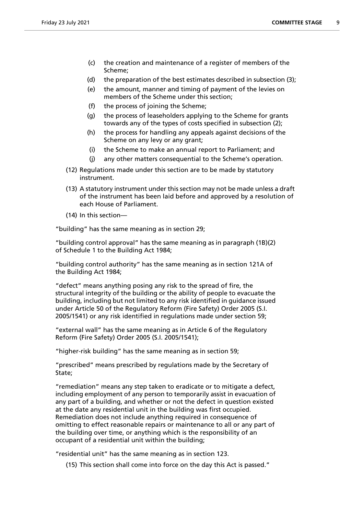- (c) the creation and maintenance of a register of members of the Scheme;
- (d) the preparation of the best estimates described in subsection (3);
- (e) the amount, manner and timing of payment of the levies on members of the Scheme under this section;
- (f) the process of joining the Scheme;
- (g) the process of leaseholders applying to the Scheme for grants towards any of the types of costs specified in subsection (2);
- (h) the process for handling any appeals against decisions of the Scheme on any levy or any grant;
- (i) the Scheme to make an annual report to Parliament; and
- (j) any other matters consequential to the Scheme's operation.
- (12) Regulations made under this section are to be made by statutory instrument.
- (13) A statutory instrument under this section may not be made unless a draft of the instrument has been laid before and approved by a resolution of each House of Parliament.
- (14) In this section—

"building" has the same meaning as in section 29;

"building control approval" has the same meaning as in paragraph (1B)(2) of Schedule 1 to the Building Act 1984;

"building control authority" has the same meaning as in section 121A of the Building Act 1984;

"defect" means anything posing any risk to the spread of fire, the structural integrity of the building or the ability of people to evacuate the building, including but not limited to any risk identified in guidance issued under Article 50 of the Regulatory Reform (Fire Safety) Order 2005 (S.I. 2005/1541) or any risk identified in regulations made under section 59;

"external wall" has the same meaning as in Article 6 of the Regulatory Reform (Fire Safety) Order 2005 (S.I. 2005/1541);

"higher-risk building" has the same meaning as in section 59;

"prescribed" means prescribed by regulations made by the Secretary of State;

"remediation" means any step taken to eradicate or to mitigate a defect, including employment of any person to temporarily assist in evacuation of any part of a building, and whether or not the defect in question existed at the date any residential unit in the building was first occupied. Remediation does not include anything required in consequence of omitting to effect reasonable repairs or maintenance to all or any part of the building over time, or anything which is the responsibility of an occupant of a residential unit within the building;

"residential unit" has the same meaning as in section 123.

(15) This section shall come into force on the day this Act is passed."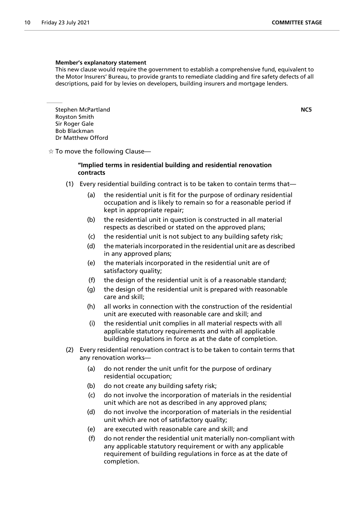#### **Member's explanatory statement**

This new clause would require the government to establish a comprehensive fund, equivalent to the Motor Insurers' Bureau, to provide grants to remediate cladding and fire safety defects of all descriptions, paid for by levies on developers, building insurers and mortgage lenders.

Stephen McPartland **NC5** Royston Smith Sir Roger Gale Bob Blackman Dr Matthew Offord

 $\dot{\mathbb{X}}$  To move the following Clause—

## **"Implied terms in residential building and residential renovation contracts**

- (1) Every residential building contract is to be taken to contain terms that—
	- (a) the residential unit is fit for the purpose of ordinary residential occupation and is likely to remain so for a reasonable period if kept in appropriate repair;
	- (b) the residential unit in question is constructed in all material respects as described or stated on the approved plans;
	- (c) the residential unit is not subject to any building safety risk;
	- (d) the materials incorporated in the residential unit are as described in any approved plans;
	- (e) the materials incorporated in the residential unit are of satisfactory quality;
	- (f) the design of the residential unit is of a reasonable standard;
	- (g) the design of the residential unit is prepared with reasonable care and skill;
	- (h) all works in connection with the construction of the residential unit are executed with reasonable care and skill; and
	- (i) the residential unit complies in all material respects with all applicable statutory requirements and with all applicable building regulations in force as at the date of completion.
- (2) Every residential renovation contract is to be taken to contain terms that any renovation works—
	- (a) do not render the unit unfit for the purpose of ordinary residential occupation;
	- (b) do not create any building safety risk;
	- (c) do not involve the incorporation of materials in the residential unit which are not as described in any approved plans;
	- (d) do not involve the incorporation of materials in the residential unit which are not of satisfactory quality;
	- (e) are executed with reasonable care and skill; and
	- (f) do not render the residential unit materially non-compliant with any applicable statutory requirement or with any applicable requirement of building regulations in force as at the date of completion.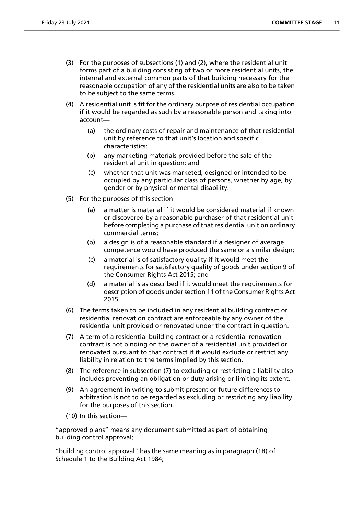- (3) For the purposes of subsections (1) and (2), where the residential unit forms part of a building consisting of two or more residential units, the internal and external common parts of that building necessary for the reasonable occupation of any of the residential units are also to be taken to be subject to the same terms.
- (4) A residential unit is fit for the ordinary purpose of residential occupation if it would be regarded as such by a reasonable person and taking into account—
	- (a) the ordinary costs of repair and maintenance of that residential unit by reference to that unit's location and specific characteristics;
	- (b) any marketing materials provided before the sale of the residential unit in question; and
	- (c) whether that unit was marketed, designed or intended to be occupied by any particular class of persons, whether by age, by gender or by physical or mental disability.
- (5) For the purposes of this section—
	- (a) a matter is material if it would be considered material if known or discovered by a reasonable purchaser of that residential unit before completing a purchase of that residential unit on ordinary commercial terms;
	- (b) a design is of a reasonable standard if a designer of average competence would have produced the same or a similar design;
	- (c) a material is of satisfactory quality if it would meet the requirements for satisfactory quality of goods under section 9 of the Consumer Rights Act 2015; and
	- (d) a material is as described if it would meet the requirements for description of goods under section 11 of the Consumer Rights Act 2015.
- (6) The terms taken to be included in any residential building contract or residential renovation contract are enforceable by any owner of the residential unit provided or renovated under the contract in question.
- (7) A term of a residential building contract or a residential renovation contract is not binding on the owner of a residential unit provided or renovated pursuant to that contract if it would exclude or restrict any liability in relation to the terms implied by this section.
- (8) The reference in subsection (7) to excluding or restricting a liability also includes preventing an obligation or duty arising or limiting its extent.
- (9) An agreement in writing to submit present or future differences to arbitration is not to be regarded as excluding or restricting any liability for the purposes of this section.
- (10) In this section—

"approved plans" means any document submitted as part of obtaining building control approval;

"building control approval" has the same meaning as in paragraph (1B) of Schedule 1 to the Building Act 1984;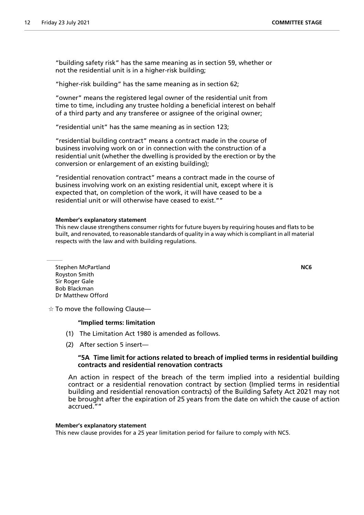"building safety risk" has the same meaning as in section 59, whether or not the residential unit is in a higher-risk building;

"higher-risk building" has the same meaning as in section 62;

"owner" means the registered legal owner of the residential unit from time to time, including any trustee holding a beneficial interest on behalf of a third party and any transferee or assignee of the original owner;

"residential unit" has the same meaning as in section 123;

"residential building contract" means a contract made in the course of business involving work on or in connection with the construction of a residential unit (whether the dwelling is provided by the erection or by the conversion or enlargement of an existing building);

"residential renovation contract" means a contract made in the course of business involving work on an existing residential unit, except where it is expected that, on completion of the work, it will have ceased to be a residential unit or will otherwise have ceased to exist.""

#### **Member's explanatory statement**

This new clause strengthens consumer rights for future buyers by requiring houses and flats to be built, and renovated, to reasonable standards of quality in a way which is compliant in all material respects with the law and with building regulations.

Stephen McPartland **NC6** Royston Smith Sir Roger Gale Bob Blackman Dr Matthew Offord

 $\dot{\varphi}$  To move the following Clause—

#### **"Implied terms: limitation**

- (1) The Limitation Act 1980 is amended as follows.
- (2) After section 5 insert—

## **"5A Time limit for actions related to breach of implied terms in residential building contracts and residential renovation contracts**

An action in respect of the breach of the term implied into a residential building contract or a residential renovation contract by section (Implied terms in residential building and residential renovation contracts) of the Building Safety Act 2021 may not be brought after the expiration of 25 years from the date on which the cause of action accrued.""

#### **Member's explanatory statement**

This new clause provides for a 25 year limitation period for failure to comply with NC5.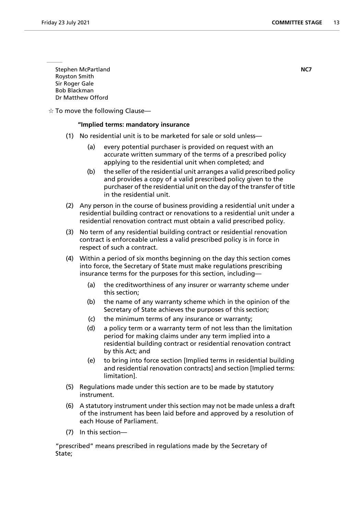Stephen McPartland **NC7** Royston Smith Sir Roger Gale Bob Blackman Dr Matthew Offord

 $\dot{\varphi}$  To move the following Clause—

## **"Implied terms: mandatory insurance**

- (1) No residential unit is to be marketed for sale or sold unless—
	- (a) every potential purchaser is provided on request with an accurate written summary of the terms of a prescribed policy applying to the residential unit when completed; and
	- (b) the seller of the residential unit arranges a valid prescribed policy and provides a copy of a valid prescribed policy given to the purchaser of the residential unit on the day of the transfer of title in the residential unit.
- (2) Any person in the course of business providing a residential unit under a residential building contract or renovations to a residential unit under a residential renovation contract must obtain a valid prescribed policy.
- (3) No term of any residential building contract or residential renovation contract is enforceable unless a valid prescribed policy is in force in respect of such a contract.
- (4) Within a period of six months beginning on the day this section comes into force, the Secretary of State must make regulations prescribing insurance terms for the purposes for this section, including—
	- (a) the creditworthiness of any insurer or warranty scheme under this section;
	- (b) the name of any warranty scheme which in the opinion of the Secretary of State achieves the purposes of this section;
	- (c) the minimum terms of any insurance or warranty;
	- (d) a policy term or a warranty term of not less than the limitation period for making claims under any term implied into a residential building contract or residential renovation contract by this Act; and
	- (e) to bring into force section [Implied terms in residential building and residential renovation contracts] and section [Implied terms: limitation].
- (5) Regulations made under this section are to be made by statutory instrument.
- (6) A statutory instrument under this section may not be made unless a draft of the instrument has been laid before and approved by a resolution of each House of Parliament.
- (7) In this section—

"prescribed" means prescribed in regulations made by the Secretary of State;